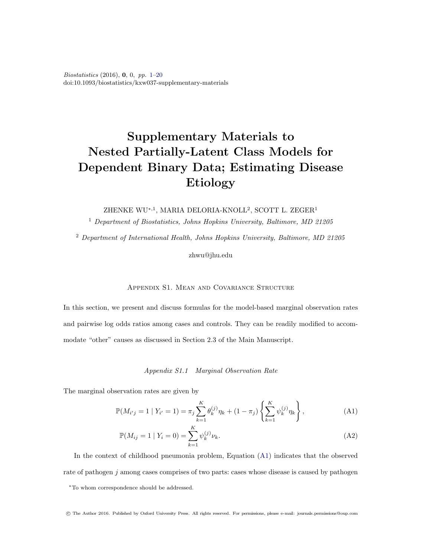Biostatistics (2016), 0, 0, pp. 1[–20](#page-19-0) doi:10.1093/biostatistics/kxw037-supplementary-materials

# Supplementary Materials to Nested Partially-Latent Class Models for Dependent Binary Data; Estimating Disease Etiology

ZHENKE WU $^{\ast,1},$  MARIA DELORIA-KNOLL $^2,$  SCOTT L. ZEGER $^1$ 

<sup>1</sup> Department of Biostatistics, Johns Hopkins University, Baltimore, MD 21205

<sup>2</sup> Department of International Health, Johns Hopkins University, Baltimore, MD 21205

zhwu@jhu.edu

Appendix S1. Mean and Covariance Structure

In this section, we present and discuss formulas for the model-based marginal observation rates and pairwise log odds ratios among cases and controls. They can be readily modified to accommodate "other" causes as discussed in Section 2.3 of the Main Manuscript.

Appendix S1.1 Marginal Observation Rate

The marginal observation rates are given by

<span id="page-0-0"></span>
$$
\mathbb{P}(M_{i'j} = 1 | Y_{i'} = 1) = \pi_j \sum_{k=1}^{K} \theta_k^{(j)} \eta_k + (1 - \pi_j) \left\{ \sum_{k=1}^{K} \psi_k^{(j)} \eta_k \right\},
$$
\n(A1)

$$
\mathbb{P}(M_{ij} = 1 \mid Y_i = 0) = \sum_{k=1}^{K} \psi_k^{(j)} \nu_k.
$$
\n(A2)

In the context of childhood pneumonia problem, Equation [\(A1\)](#page-0-0) indicates that the observed rate of pathogen  $j$  among cases comprises of two parts: cases whose disease is caused by pathogen

<sup>∗</sup>To whom correspondence should be addressed.

c The Author 2016. Published by Oxford University Press. All rights reserved. For permissions, please e-mail: journals.permissions@oup.com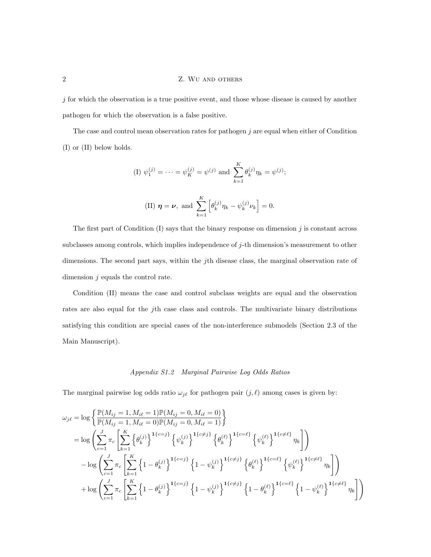$j$  for which the observation is a true positive event, and those whose disease is caused by another pathogen for which the observation is a false positive.

The case and control mean observation rates for pathogen  $j$  are equal when either of Condition (I) or (II) below holds.

(I) 
$$
\psi_1^{(j)} = \cdots = \psi_K^{(j)} = \psi^{(j)}
$$
 and  $\sum_{k=1}^K \theta_k^{(j)} \eta_k = \psi^{(j)}$ ;

(II) 
$$
\boldsymbol{\eta} = \boldsymbol{\nu}
$$
, and  $\sum_{k=1}^{K} \left[ \theta_k^{(j)} \eta_k - \psi_k^{(j)} \nu_k \right] = 0$ .

The first part of Condition  $(I)$  says that the binary response on dimension j is constant across subclasses among controls, which implies independence of j-th dimension's measurement to other dimensions. The second part says, within the j<sup>th</sup> disease class, the marginal observation rate of dimension  $j$  equals the control rate.

Condition (II) means the case and control subclass weights are equal and the observation rates are also equal for the jth case class and controls. The multivariate binary distributions satisfying this condition are special cases of the non-interference submodels (Section 2.3 of the Main Manuscript).

## Appendix S1.2 Marginal Pairwise Log Odds Ratios

The marginal pairwise log odds ratio  $\omega_{j\ell}$  for pathogen pair  $(j, \ell)$  among cases is given by:

$$
\omega_{j\ell} = \log \left\{ \frac{\mathbb{P}(M_{ij} = 1, M_{i\ell} = 1) \mathbb{P}(M_{ij} = 0, M_{i\ell} = 0)}{\mathbb{P}(M_{ij} = 1, M_{i\ell} = 0) \mathbb{P}(M_{ij} = 0, M_{i\ell} = 1)} \right\}
$$
  
\n
$$
= \log \left( \sum_{c=1}^{J} \pi_c \left[ \sum_{k=1}^{K} \left\{ \theta_k^{(j)} \right\}^{1\{c=j\}} \left\{ \psi_k^{(j)} \right\}^{1\{c\neq j\}} \left\{ \theta_k^{(\ell)} \right\}^{1\{c=\ell\}} \left\{ \psi_k^{(\ell)} \right\}^{1\{c\neq \ell\}} \eta_k \right\} \right)
$$
  
\n
$$
- \log \left( \sum_{c=1}^{J} \pi_c \left[ \sum_{k=1}^{K} \left\{ 1 - \theta_k^{(j)} \right\}^{1\{c=j\}} \left\{ 1 - \psi_k^{(j)} \right\}^{1\{c\neq j\}} \left\{ \theta_k^{(\ell)} \right\}^{1\{c=\ell\}} \left\{ \psi_k^{(\ell)} \right\}^{1\{c\neq \ell\}} \eta_k \right] \right)
$$
  
\n
$$
+ \log \left( \sum_{c=1}^{J} \pi_c \left[ \sum_{k=1}^{K} \left\{ 1 - \theta_k^{(j)} \right\}^{1\{c=j\}} \left\{ 1 - \psi_k^{(j)} \right\}^{1\{c\neq j\}} \left\{ 1 - \theta_k^{(\ell)} \right\}^{1\{c=\ell\}} \left\{ 1 - \psi_k^{(\ell)} \right\}^{1\{c\neq \ell\}} \eta_k \right] \right)
$$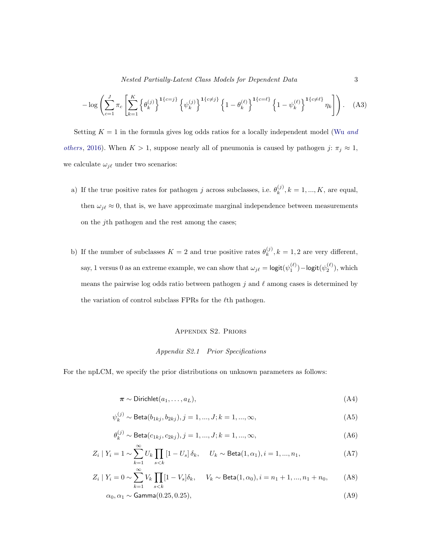Nested Partially-Latent Class Models for Dependent Data 3

$$
-\log\left(\sum_{c=1}^{J}\pi_{c}\left[\sum_{k=1}^{K}\left\{\theta_{k}^{(j)}\right\}^{1\{c=j\}}\left\{\psi_{k}^{(j)}\right\}^{1\{c\neq j\}}\left\{1-\theta_{k}^{(\ell)}\right\}^{1\{c=\ell\}}\left\{1-\psi_{k}^{(\ell)}\right\}^{1\{c\neq \ell\}}\eta_{k}\right]\right).
$$
 (A3)

Setting  $K = 1$  in the formula gives log odds ratios for a locally independent model [\(Wu](#page-19-1) and *[others](#page-19-1)*, [2016\)](#page-19-1). When  $K > 1$ , suppose nearly all of pneumonia is caused by pathogen  $j: \pi_j \approx 1$ , we calculate  $\omega_{j\ell}$  under two scenarios:

- a) If the true positive rates for pathogen j across subclasses, i.e.  $\theta_k^{(j)}$  $k^{(j)}$ ,  $k = 1, ..., K$ , are equal, then  $\omega_{j\ell} \approx 0$ , that is, we have approximate marginal independence between measurements on the jth pathogen and the rest among the cases;
- b) If the number of subclasses  $K = 2$  and true positive rates  $\theta_k^{(j)}$  $k^{(j)}$ ,  $k = 1, 2$  are very different, say, 1 versus 0 as an extreme example, we can show that  $\omega_{j\ell} = \text{logit}(\psi_1^{(\ell)}) - \text{logit}(\psi_2^{(\ell)}),$  which means the pairwise log odds ratio between pathogen j and  $\ell$  among cases is determined by the variation of control subclass FPRs for the  $\ell$ th pathogen.

#### Appendix S2. Priors

### Appendix S2.1 Prior Specifications

For the npLCM, we specify the prior distributions on unknown parameters as follows:

<span id="page-2-0"></span>
$$
\boldsymbol{\pi} \sim \text{Dirichlet}(a_1, \dots, a_L),\tag{A4}
$$

$$
\psi_k^{(j)} \sim \text{Beta}(b_{1kj}, b_{2kj}), j = 1, ..., J; k = 1, ..., \infty,
$$
\n(A5)

$$
\theta_k^{(j)} \sim \text{Beta}(c_{1kj}, c_{2kj}), j = 1, ..., J; k = 1, ..., \infty,
$$
\n(A6)

$$
Z_i | Y_i = 1 \sim \sum_{k=1}^{\infty} U_k \prod_{s < k} [1 - U_s] \, \delta_k, \quad U_k \sim \text{Beta}(1, \alpha_1), i = 1, \dots, n_1,\tag{A7}
$$

$$
Z_i | Y_i = 0 \sim \sum_{k=1}^{\infty} V_k \prod_{s < k} [1 - V_s] \delta_k, \quad V_k \sim \text{Beta}(1, \alpha_0), i = n_1 + 1, ..., n_1 + n_0,
$$
 (A8)

$$
\alpha_0, \alpha_1 \sim \text{Gamma}(0.25, 0.25),\tag{A9}
$$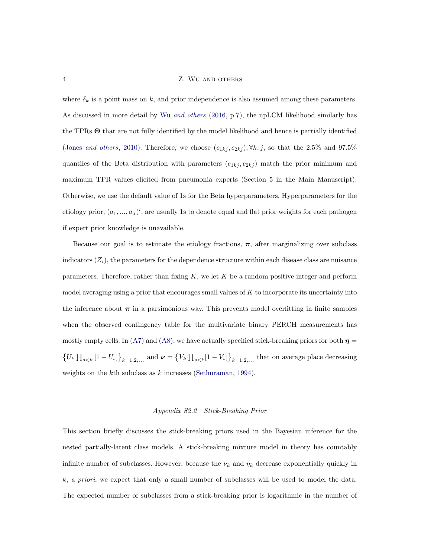where  $\delta_k$  is a point mass on k, and prior independence is also assumed among these parameters. As discussed in more detail by Wu [and others](#page-19-1) [\(2016,](#page-19-1) p.7), the npLCM likelihood similarly has the TPRs Θ that are not fully identified by the model likelihood and hence is partially identified (Jones [and others](#page-18-0), [2010\)](#page-18-0). Therefore, we choose  $(c_{1kj}, c_{2kj}), \forall k, j$ , so that the 2.5% and 97.5% quantiles of the Beta distribution with parameters  $(c_{1kj}, c_{2kj})$  match the prior minimum and maximum TPR values elicited from pneumonia experts (Section 5 in the Main Manuscript). Otherwise, we use the default value of 1s for the Beta hyperparameters. Hyperparameters for the etiology prior,  $(a_1, ..., a_J)'$ , are usually 1s to denote equal and flat prior weights for each pathogen if expert prior knowledge is unavailable.

Because our goal is to estimate the etiology fractions,  $\pi$ , after marginalizing over subclass indicators  $(Z_i)$ , the parameters for the dependence structure within each disease class are nuisance parameters. Therefore, rather than fixing  $K$ , we let  $K$  be a random positive integer and perform model averaging using a prior that encourages small values of  $K$  to incorporate its uncertainty into the inference about  $\pi$  in a parsimonious way. This prevents model overfitting in finite samples when the observed contingency table for the multivariate binary PERCH measurements has mostly empty cells. In [\(A7\)](#page-2-0) and [\(A8\)](#page-2-0), we have actually specified stick-breaking priors for both  $\eta$  $\{U_k \prod_{s \leq k} [1-U_s]\}_{k=1,2,...}$  and  $\nu = \{V_k \prod_{s \leq k} [1-V_s]\}_{k=1,2,...}$  that on average place decreasing weights on the kth subclass as k increases [\(Sethuraman,](#page-19-2) [1994\)](#page-19-2).

#### Appendix S2.2 Stick-Breaking Prior

This section briefly discusses the stick-breaking priors used in the Bayesian inference for the nested partially-latent class models. A stick-breaking mixture model in theory has countably infinite number of subclasses. However, because the  $\nu_k$  and  $\eta_k$  decrease exponentially quickly in k, a priori, we expect that only a small number of subclasses will be used to model the data. The expected number of subclasses from a stick-breaking prior is logarithmic in the number of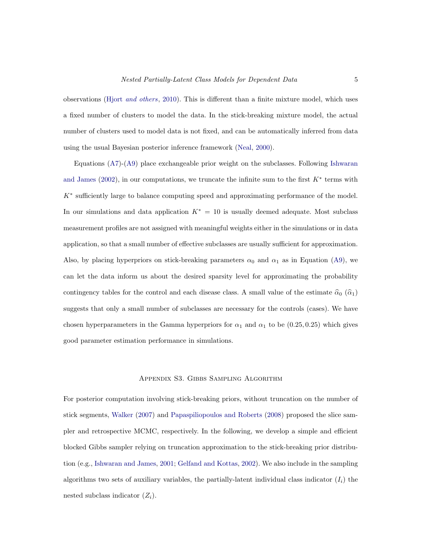observations (Hjort [and others](#page-18-1), [2010\)](#page-18-1). This is different than a finite mixture model, which uses a fixed number of clusters to model the data. In the stick-breaking mixture model, the actual number of clusters used to model data is not fixed, and can be automatically inferred from data using the usual Bayesian posterior inference framework [\(Neal,](#page-19-3) [2000\)](#page-19-3).

Equations  $(A7)-(A9)$  $(A7)-(A9)$  $(A7)-(A9)$  place exchangeable prior weight on the subclasses. Following [Ishwaran](#page-18-2) [and James](#page-18-2) [\(2002\)](#page-18-2), in our computations, we truncate the infinite sum to the first  $K^*$  terms with K<sup>∗</sup> sufficiently large to balance computing speed and approximating performance of the model. In our simulations and data application  $K^* = 10$  is usually deemed adequate. Most subclass measurement profiles are not assigned with meaningful weights either in the simulations or in data application, so that a small number of effective subclasses are usually sufficient for approximation. Also, by placing hyperpriors on stick-breaking parameters  $\alpha_0$  and  $\alpha_1$  as in Equation [\(A9\)](#page-2-0), we can let the data inform us about the desired sparsity level for approximating the probability contingency tables for the control and each disease class. A small value of the estimate  $\hat{\alpha}_0$   $(\hat{\alpha}_1)$ suggests that only a small number of subclasses are necessary for the controls (cases). We have chosen hyperparameters in the Gamma hyperpriors for  $\alpha_1$  and  $\alpha_1$  to be (0.25, 0.25) which gives good parameter estimation performance in simulations.

#### Appendix S3. Gibbs Sampling Algorithm

For posterior computation involving stick-breaking priors, without truncation on the number of stick segments, [Walker](#page-19-4) [\(2007\)](#page-19-4) and [Papaspiliopoulos and Roberts](#page-19-5) [\(2008\)](#page-19-5) proposed the slice sampler and retrospective MCMC, respectively. In the following, we develop a simple and efficient blocked Gibbs sampler relying on truncation approximation to the stick-breaking prior distribution (e.g., [Ishwaran and James,](#page-18-3) [2001;](#page-18-3) [Gelfand and Kottas,](#page-18-4) [2002\)](#page-18-4). We also include in the sampling algorithms two sets of auxiliary variables, the partially-latent individual class indicator  $(I_i)$  the nested subclass indicator  $(Z_i)$ .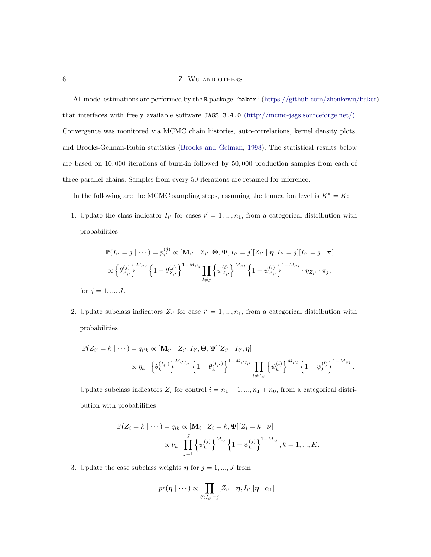All model estimations are performed by the R package "baker" [\(https://github.com/zhenkewu/baker\)](https://github.com/zhenkewu/baker) that interfaces with freely available software JAGS 3.4.0 [\(http://mcmc-jags.sourceforge.net/\).](http://mcmc-jags.sourceforge.net/) Convergence was monitored via MCMC chain histories, auto-correlations, kernel density plots, and Brooks-Gelman-Rubin statistics [\(Brooks and Gelman,](#page-18-5) [1998\)](#page-18-5). The statistical results below are based on 10, 000 iterations of burn-in followed by 50, 000 production samples from each of three parallel chains. Samples from every 50 iterations are retained for inference.

In the following are the MCMC sampling steps, assuming the truncation level is  $K^* = K$ :

1. Update the class indicator  $I_{i'}$  for cases  $i' = 1, ..., n_1$ , from a categorical distribution with probabilities

$$
\mathbb{P}(I_{i'} = j \mid \cdots) = p_{i'}^{(j)} \propto [\mathbf{M}_{i'} | Z_{i'}, \mathbf{\Theta}, \mathbf{\Psi}, I_{i'} = j][Z_{i'} | \mathbf{\eta}, I_{i'} = j][I_{i'} = j | \mathbf{\pi}]
$$
  
 
$$
\propto \left\{\theta_{Z_{i'}}^{(j)}\right\}^{M_{i'j}} \left\{1 - \theta_{Z_{i'}}^{(j)}\right\}^{1 - M_{i'j}} \prod_{l \neq j} \left\{\psi_{Z_{i'}}^{(l)}\right\}^{M_{i'l}} \left\{1 - \psi_{Z_{i'}}^{(l)}\right\}^{1 - M_{i'l}} \cdot \eta_{Z_{i'}} \cdot \pi_j,
$$

for  $j = 1, ..., J$ .

2. Update subclass indicators  $Z_{i'}$  for case  $i' = 1, ..., n_1$ , from a categorical distribution with probabilities

$$
\mathbb{P}(Z_{i'} = k | \cdots) = q_{i'k} \propto [\mathbf{M}_{i'} | Z_{i'}, I_{i'}, \mathbf{\Theta}, \mathbf{\Psi}][Z_{i'} | I_{i'}, \boldsymbol{\eta}]
$$
  
 
$$
\propto \eta_k \cdot \left\{ \theta_k^{(I_{i'})} \right\}^{M_{i'I_{i'}}} \left\{ 1 - \theta_k^{(I_{i'})} \right\}^{1 - M_{i'I_{i'}}} \prod_{l \neq I_{i'}} \left\{ \psi_k^{(l)} \right\}^{M_{i'l}} \left\{ 1 - \psi_k^{(l)} \right\}^{1 - M_{i'l}}.
$$

Update subclass indicators  $Z_i$  for control  $i = n_1 + 1, ..., n_1 + n_0$ , from a categorical distribution with probabilities

$$
\mathbb{P}(Z_i = k \mid \cdots) = q_{ik} \propto [\mathbf{M}_i \mid Z_i = k, \Psi][Z_i = k \mid \nu]
$$
  
 
$$
\propto \nu_k \cdot \prod_{j=1}^J \left\{ \psi_k^{(j)} \right\}^{M_{ij}} \left\{ 1 - \psi_k^{(j)} \right\}^{1 - M_{ij}}, k = 1, ..., K.
$$

3. Update the case subclass weights  $\eta$  for  $j = 1, ..., J$  from

$$
pr(\boldsymbol{\eta} | \cdots) \propto \prod_{i':I_{i'}=j} [Z_{i'} | \boldsymbol{\eta}, I_{i'}] [\boldsymbol{\eta} | \alpha_1]
$$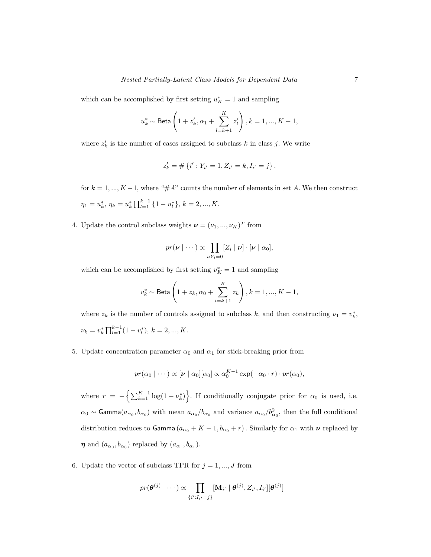which can be accomplished by first setting  $u_K^* = 1$  and sampling

$$
u_k^* \sim \text{Beta}\left(1 + z_k', \alpha_1 + \sum_{l=k+1}^K z_l'\right), k = 1, ..., K - 1,
$$

where  $z'_{k}$  is the number of cases assigned to subclass k in class j. We write

$$
z'_{k} = \#\left\{i': Y_{i'} = 1, Z_{i'} = k, I_{i'} = j\right\},\
$$

for  $k = 1, ..., K - 1$ , where "#A" counts the number of elements in set A. We then construct  $\eta_1 = u_k^*, \, \eta_k = u_k^* \prod_{l=1}^{k-1} \{1 - u_l^*\}, \, k = 2, ..., K.$ 

4. Update the control subclass weights  $\boldsymbol{\nu} = (\nu_1, ..., \nu_K)^T$  from

$$
pr(\boldsymbol{\nu} \mid \cdots) \propto \prod_{i:Y_i=0} [Z_i \mid \boldsymbol{\nu}] \cdot [\boldsymbol{\nu} \mid \alpha_0],
$$

which can be accomplished by first setting  $v_K^\ast=1$  and sampling

$$
v_k^* \sim \text{Beta}\left(1 + z_k, \alpha_0 + \sum_{l=k+1}^K z_k\right), k = 1, ..., K - 1,
$$

where  $z_k$  is the number of controls assigned to subclass k, and then constructing  $\nu_1 = v_k^*$ ,  $\nu_k = v_k^* \prod_{l=1}^{k-1} (1 - v_l^*), \, k = 2, ..., K.$ 

5. Update concentration parameter  $\alpha_0$  and  $\alpha_1$  for stick-breaking prior from

$$
pr(\alpha_0 | \cdots) \propto [\nu | \alpha_0] [\alpha_0] \propto \alpha_0^{K-1} \exp(-\alpha_0 \cdot r) \cdot pr(\alpha_0),
$$

where  $r = -\left\{\sum_{k=1}^{K-1} \log(1 - \nu_k^*)\right\}$ . If conditionally conjugate prior for  $\alpha_0$  is used, i.e.  $\alpha_0 \sim \text{Gamma}(a_{\alpha_0}, b_{\alpha_0})$  with mean  $a_{\alpha_0}/b_{\alpha_0}$  and variance  $a_{\alpha_0}/b_{\alpha_0}^2$ , then the full conditional distribution reduces to Gamma  $(a_{\alpha_0} + K - 1, b_{\alpha_0} + r)$ . Similarly for  $\alpha_1$  with  $\nu$  replaced by  $\eta$  and  $(a_{\alpha_0}, b_{\alpha_0})$  replaced by  $(a_{\alpha_1}, b_{\alpha_1})$ .

6. Update the vector of subclass TPR for  $j = 1, ..., J$  from

$$
pr(\boldsymbol{\theta}^{(j)} | \cdots) \propto \prod_{\{i': I_{i'} = j\}} [\mathbf{M}_{i'} | \boldsymbol{\theta}^{(j)}, Z_{i'}, I_{i'}] [\boldsymbol{\theta}^{(j)}]
$$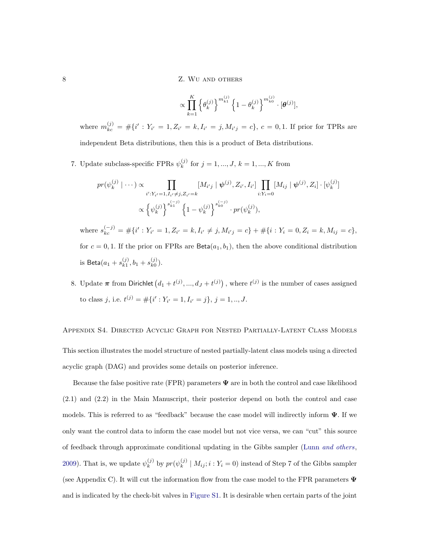$$
\propto \prod_{k=1}^K \left\{ \theta_k^{(j)} \right\}^{m_{k1}^{(j)}} \left\{ 1 - \theta_k^{(j)} \right\}^{m_{k0}^{(j)}} \cdot [\boldsymbol{\theta}^{(j)}],
$$

where  $m_{kc}^{(j)} = #\{i' : Y_{i'} = 1, Z_{i'} = k, I_{i'} = j, M_{i'j} = c\}, c = 0, 1$ . If prior for TPRs are independent Beta distributions, then this is a product of Beta distributions.

7. Update subclass-specific FPRs  $\psi_k^{(j)}$  $k^{(j)}$  for  $j = 1, ..., J, k = 1, ..., K$  from

$$
pr(\psi_k^{(j)} | \cdots) \propto \prod_{i':Y_{i'}=1, I_{i'} \neq j, Z_{i'}=k} [M_{i'j} | \psi^{(j)}, Z_{i'}, I_{i'}] \prod_{i:Y_i=0} [M_{ij} | \psi^{(j)}, Z_i] \cdot [\psi_k^{(j)}] \propto {\psi_k^{(j)}}^{\sum_{k=1}^{s_{k1}^{(-j)}} {\left\{1-\psi_k^{(j)}\right\}}^{\sum_{k=0}^{s_{k0}^{(-j)}}} \cdot pr(\psi_k^{(j)}),
$$

where  $s_{kc}^{(-j)} = #\{i' : Y_{i'} = 1, Z_{i'} = k, I_{i'} \neq j, M_{i'j} = c\} + #\{i : Y_i = 0, Z_i = k, M_{ij} = c\},\$ for  $c = 0, 1$ . If the prior on FPRs are Beta $(a_1, b_1)$ , then the above conditional distribution is  $\mathsf{Beta}(a_1 + s_{k1}^{(j)})$  $s_{k1}^{(j)}, b_1 + s_{k0}^{(j)}$  $_{k0}^{(j)}$ ).

8. Update  $\pi$  from Dirichlet  $(d_1 + t^{(j)}, ..., d_J + t^{(j)})$ , where  $t^{(j)}$  is the number of cases assigned to class j, i.e.  $t^{(j)} = \#\{i' : Y_{i'} = 1, I_{i'} = j\}, j = 1, ..., J$ .

Appendix S4. Directed Acyclic Graph for Nested Partially-Latent Class Models This section illustrates the model structure of nested partially-latent class models using a directed acyclic graph (DAG) and provides some details on posterior inference.

Because the false positive rate (FPR) parameters  $\Psi$  are in both the control and case likelihood (2.1) and (2.2) in the Main Manuscript, their posterior depend on both the control and case models. This is referred to as "feedback" because the case model will indirectly inform  $\Psi$ . If we only want the control data to inform the case model but not vice versa, we can "cut" this source of feedback through approximate conditional updating in the Gibbs sampler (Lunn [and others](#page-18-6), [2009\)](#page-18-6). That is, we update  $\psi_k^{(j)}$  $\binom{(j)}{k}$  by  $pr(\psi_k^{(j)})$  $\binom{[j]}{k}$  |  $M_{ij}$ ;  $i: Y_i = 0$ ) instead of Step 7 of the Gibbs sampler (see Appendix C). It will cut the information flow from the case model to the FPR parameters  $\Psi$ and is indicated by the check-bit valves in [Figure S1.](#page-8-0) It is desirable when certain parts of the joint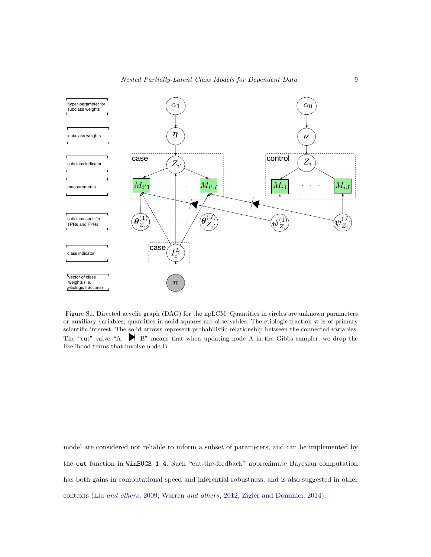

<span id="page-8-0"></span>Figure S1. Directed acyclic graph (DAG) for the npLCM. Quantities in circles are unknown parameters or auxiliary variables; quantities in solid squares are observables. The etiologic fraction  $\pi$  is of primary scientific interest. The solid arrows represent probabilistic relationship between the connected variables. The "cut" valve "A  $\rightarrow$  B" means that when updating node A in the Gibbs sampler, we drop the likelihood terms that involve node B.

model are considered not reliable to inform a subset of parameters, and can be implemented by the cut function in WinBUGS 1.4. Such "cut-the-feedback" approximate Bayesian computation has both gains in computational speed and inferential robustness, and is also suggested in other contexts (Liu [and others](#page-18-7), [2009;](#page-18-7) Warren [and others](#page-19-6), [2012;](#page-19-6) [Zigler and Dominici,](#page-19-7) [2014\)](#page-19-7).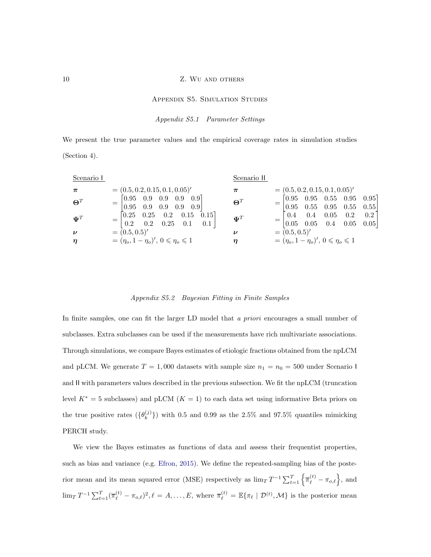#### Appendix S5. Simulation Studies

#### Appendix S5.1 Parameter Settings

We present the true parameter values and the empirical coverage rates in simulation studies (Section 4).

| Scenario I          |                                                                                                   | Scenario II         |                                                                                                   |
|---------------------|---------------------------------------------------------------------------------------------------|---------------------|---------------------------------------------------------------------------------------------------|
| $\pi$               | $=(0.5, 0.2, 0.15, 0.1, 0.05)'$                                                                   | $\pi$               | $=(0.5, 0.2, 0.15, 0.1, 0.05)'$                                                                   |
| $\mathbf{\Theta}^T$ | $=\begin{bmatrix} 0.95 & 0.9 & 0.9 & 0.9 & 0.9 \end{bmatrix}$                                     | $\mathbf{\Theta}^T$ | $\begin{bmatrix} 0.95 & 0.95 & 0.55 & 0.95 & 0.95 \end{bmatrix}$                                  |
|                     | $\begin{bmatrix} 0.95 & 0.9 & 0.9 & 0.9 & 0.9 \end{bmatrix}$                                      |                     | $=$ $\begin{bmatrix} 0.95 & 0.55 & 0.95 & 0.55 & 0.55 \end{bmatrix}$                              |
| $\Psi^T$            | $= \begin{bmatrix} 0.25 & 0.25 & 0.2 & 0.15 & 0.15 \\ 0.2 & 0.2 & 0.25 & 0.1 & 0.1 \end{bmatrix}$ | $\Psi^T$            | $= \begin{bmatrix} 0.4 & 0.4 & 0.05 & 0.2 & 0.2 \\ 0.05 & 0.05 & 0.4 & 0.05 & 0.05 \end{bmatrix}$ |
|                     |                                                                                                   |                     |                                                                                                   |
| $\boldsymbol{\nu}$  | $=(0.5, 0.5)'$                                                                                    | ν                   | $=(0.5, 0.5)'$                                                                                    |
| $\eta$              | $=(\eta_o, 1-\eta_o)'$ , $0 \le \eta_o \le 1$                                                     |                     | $= (\eta_o, 1 - \eta_o)'$ , $0 \le \eta_o \le 1$                                                  |

#### Appendix S5.2 Bayesian Fitting in Finite Samples

In finite samples, one can fit the larger LD model that a priori encourages a small number of subclasses. Extra subclasses can be used if the measurements have rich multivariate associations. Through simulations, we compare Bayes estimates of etiologic fractions obtained from the npLCM and pLCM. We generate  $T = 1,000$  datasets with sample size  $n_1 = n_0 = 500$  under Scenario I and II with parameters values described in the previous subsection. We fit the npLCM (truncation level  $K^* = 5$  subclasses) and pLCM  $(K = 1)$  to each data set using informative Beta priors on the true positive rates  $(\{\theta_k^{(j)}\})$  $\binom{1}{k}$ ) with 0.5 and 0.99 as the 2.5% and 97.5% quantiles mimicking PERCH study.

We view the Bayes estimates as functions of data and assess their frequentist properties, such as bias and variance (e.g. [Efron,](#page-18-8) [2015\)](#page-18-8). We define the repeated-sampling bias of the posterior mean and its mean squared error (MSE) respectively as  $\lim_{T} T^{-1} \sum_{t=1}^{T} \left\{ \overline{\pi}_{\ell}^{(t)} - \pi_{o,\ell} \right\}$ , and  $\lim_{T} T^{-1} \sum_{t=1}^{T} (\overline{\pi}_{\ell}^{(t)} - \pi_{o,\ell})^2, \ell = A, \ldots, E$ , where  $\overline{\pi}_{\ell}^{(t)} = \mathbb{E} {\pi_{\ell}} \mid \mathcal{D}^{(t)}, \mathcal{M}$  is the posterior mean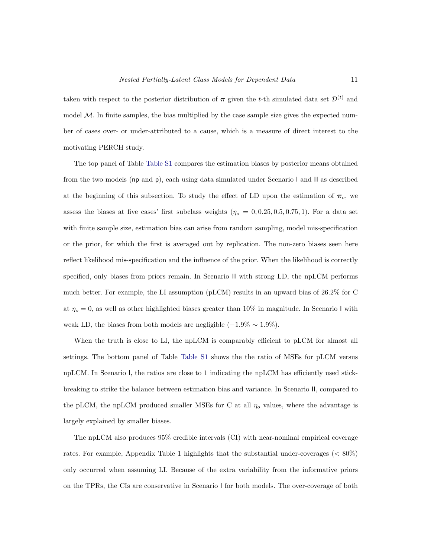taken with respect to the posterior distribution of  $\pi$  given the t-th simulated data set  $\mathcal{D}^{(t)}$  and model  $M$ . In finite samples, the bias multiplied by the case sample size gives the expected number of cases over- or under-attributed to a cause, which is a measure of direct interest to the motivating PERCH study.

The top panel of Table [Table S1](#page-12-0) compares the estimation biases by posterior means obtained from the two models (np and p), each using data simulated under Scenario I and II as described at the beginning of this subsection. To study the effect of LD upon the estimation of  $\pi_o$ , we assess the biases at five cases' first subclass weights  $(\eta_o = 0, 0.25, 0.5, 0.75, 1)$ . For a data set with finite sample size, estimation bias can arise from random sampling, model mis-specification or the prior, for which the first is averaged out by replication. The non-zero biases seen here reflect likelihood mis-specification and the influence of the prior. When the likelihood is correctly specified, only biases from priors remain. In Scenario II with strong LD, the npLCM performs much better. For example, the LI assumption (pLCM) results in an upward bias of 26.2% for C at  $\eta_o = 0$ , as well as other highlighted biases greater than 10% in magnitude. In Scenario I with weak LD, the biases from both models are negligible  $(-1.9\% \sim 1.9\%).$ 

When the truth is close to LI, the npLCM is comparably efficient to pLCM for almost all settings. The bottom panel of Table [Table S1](#page-12-0) shows the the ratio of MSEs for pLCM versus npLCM. In Scenario I, the ratios are close to 1 indicating the npLCM has efficiently used stickbreaking to strike the balance between estimation bias and variance. In Scenario II, compared to the pLCM, the npLCM produced smaller MSEs for C at all  $\eta_0$  values, where the advantage is largely explained by smaller biases.

The npLCM also produces 95% credible intervals (CI) with near-nominal empirical coverage rates. For example, Appendix Table 1 highlights that the substantial under-coverages ( $< 80\%$ ) only occurred when assuming LI. Because of the extra variability from the informative priors on the TPRs, the CIs are conservative in Scenario I for both models. The over-coverage of both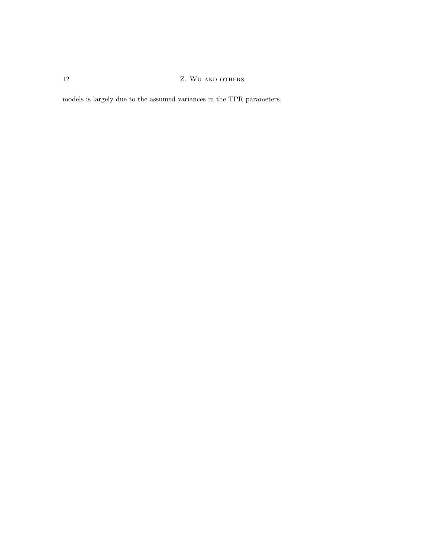models is largely due to the assumed variances in the TPR parameters.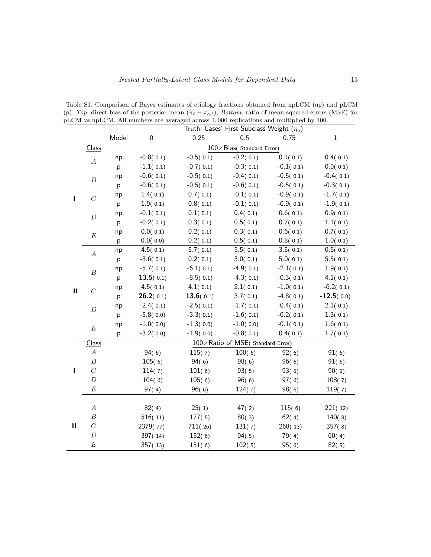|               |                  |                                   | $\mu$ $\sim$ $\mu$ . The numbers are averaged |              | $\alpha$ across $\alpha$ , over representations and manappied by<br>Truth: Cases' First Subclass Weight $(\eta_o)$ |             |              |
|---------------|------------------|-----------------------------------|-----------------------------------------------|--------------|--------------------------------------------------------------------------------------------------------------------|-------------|--------------|
|               |                  | Model                             | $\boldsymbol{0}$                              | 0.25         | 0.5                                                                                                                | 0.75        | $1\,$        |
|               | Class            | $100\times$ Bias( Standard Error) |                                               |              |                                                                                                                    |             |              |
| п             | $\boldsymbol{A}$ | np                                | $-0.8(0.1)$                                   | $-0.5(0.1)$  | $-0.2(0.1)$                                                                                                        | 0.1(0.1)    | 0.4(0.1)     |
|               |                  | p                                 | $-1.1(0.1)$                                   | $-0.7(0.1)$  | $-0.3(0.1)$                                                                                                        | $-0.1(0.1)$ | 0.0(0.1)     |
|               | $\boldsymbol{B}$ | np                                | $-0.6(0.1)$                                   | $-0.5(0.1)$  | $-0.4(0.1)$                                                                                                        | $-0.5(0.1)$ | $-0.4(0.1)$  |
|               |                  | p                                 | $-0.6(0.1)$                                   | $-0.5(0.1)$  | $-0.6(0.1)$                                                                                                        | $-0.5(0.1)$ | $-0.3(0.1)$  |
|               | $\overline{C}$   | np                                | 1.4(0.1)                                      | 0.7(0.1)     | $-0.1(0.1)$                                                                                                        | $-0.9(0.1)$ | $-1.7(0.1)$  |
|               |                  | p                                 | 1.9(0.1)                                      | 0.8(0.1)     | $-0.1(0.1)$                                                                                                        | $-0.9(0.1)$ | $-1.9(0.1)$  |
|               | $\boldsymbol{D}$ | np                                | $-0.1(0.1)$                                   | 0.1(0.1)     | 0.4(0.1)                                                                                                           | 0.6(0.1)    | 0.9(0.1)     |
|               |                  | p                                 | $-0.2(0.1)$                                   | 0.3(0.1)     | 0.5(0.1)                                                                                                           | 0.7(0.1)    | 1.1(0.1)     |
|               |                  | np                                | 0.0(0.1)                                      | 0.2(0.1)     | 0.3(0.1)                                                                                                           | 0.6(0.1)    | 0.7(0.1)     |
|               | $\cal E$         | p                                 | 0.0(0.0)                                      | 0.2(0.1)     | 0.5(0.1)                                                                                                           | 0.8(0.1)    | 1.0(0.1)     |
| $\mathbf{II}$ | $\boldsymbol{A}$ | np                                | 4.5(0.1)                                      | 5.7(0.1)     | 5.5(0.1)                                                                                                           | 3.5(0.1)    | 0.5(0.1)     |
|               |                  | p                                 | $-3.6(0.1)$                                   | 0.2(0.1)     | 3.0(0.1)                                                                                                           | 5.0(0.1)    | 5.5(0.1)     |
|               | $\boldsymbol{B}$ | np                                | $-5.7(0.1)$                                   | $-6.1(0.1)$  | $-4.9(0.1)$                                                                                                        | $-2.1(0.1)$ | 1.9(0.1)     |
|               |                  | p                                 | $-13.5(0.1)$                                  | $-8.5(0.1)$  | $-4.3(0.1)$                                                                                                        | $-0.3(0.1)$ | 4.1(0.1)     |
|               | $\cal C$         | np                                | 4.5(0.1)                                      | 4.1(0.1)     | 2.1(0.1)                                                                                                           | $-1.0(0.1)$ | $-6.2(0.1)$  |
|               |                  | p                                 | 26.2(0.1)                                     | 13.6 $(0.1)$ | 3.7(0.1)                                                                                                           | $-4.8(0.1)$ | $-12.5(0.0)$ |
|               | $\boldsymbol{D}$ | np                                | $-2.4(0.1)$                                   | $-2.5(0.1)$  | $-1.7(0.1)$                                                                                                        | $-0.4(0.1)$ | 2.1(0.1)     |
|               |                  | p                                 | $-5.8(0.0)$                                   | $-3.3(0.1)$  | $-1.6(0.1)$                                                                                                        | $-0.2(0.1)$ | 1.3(0.1)     |
|               | $\cal E$         | np                                | $-1.0(0.0)$                                   | $-1.3(0.0)$  | $-1.0(0.0)$                                                                                                        | $-0.1(0.1)$ | 1.6(0.1)     |
|               |                  | p                                 | $-3.2(0.0)$                                   | $-1.9(0.0)$  | $-0.8(0.1)$                                                                                                        | 0.4(0.1)    | 1.7(0.1)     |
|               | Class            |                                   | 100 × Ratio of MSE( Standard Error)           |              |                                                                                                                    |             |              |
|               | $\boldsymbol{A}$ |                                   | 94(6)                                         | 115(7)       | 100(6)                                                                                                             | 92(6)       | 91(6)        |
|               | $\boldsymbol{B}$ |                                   | 105(6)                                        | 94(6)        | 98(6)                                                                                                              | 96(6)       | 91(6)        |
| L             | $\cal C$         |                                   | 114(7)                                        | 101(6)       | 93(5)                                                                                                              | 93(5)       | 90(5)        |
|               | $\boldsymbol{D}$ |                                   | 104(6)                                        | 105(6)       | 96(6)                                                                                                              | 97(6)       | 108(7)       |
|               | $\cal E$         |                                   | 97(4)                                         | 96(6)        | 124(7)                                                                                                             | 98(6)       | 119(7)       |
|               |                  |                                   |                                               |              |                                                                                                                    |             |              |
|               | $\boldsymbol{A}$ |                                   | 82(4)                                         | 25(1)        | 47(2)                                                                                                              | 115(6)      | 221(12)      |
| $\mathbf{I}$  | $\boldsymbol{B}$ |                                   | 516(11)                                       | 177(5)       | 80(3)                                                                                                              | 62(4)       | 140(8)       |
|               | $\cal C$         |                                   | 2379(77)                                      | 711(26)      | 131(7)                                                                                                             | 268(13)     | 357(8)       |
|               | $\boldsymbol{D}$ |                                   | 397(14)                                       | 152(6)       | 94(5)                                                                                                              | 79(4)       | 60(4)        |
|               | $\cal E$         |                                   | 357(13)                                       | 151(6)       | 102(5)                                                                                                             | 95(6)       | 82(5)        |

<span id="page-12-0"></span>Table S1. Comparison of Bayes estimates of etiology fractions obtained from npLCM (np) and pLCM (p). Top: direct bias of the posterior mean  $(\overline{\pi}_{\ell} - \pi_{o,\ell});$  Bottom: ratio of mean squared errors (MSE) for pLCM vs npLCM. All numbers are averaged across 1, 000 replications and multiplied by 100.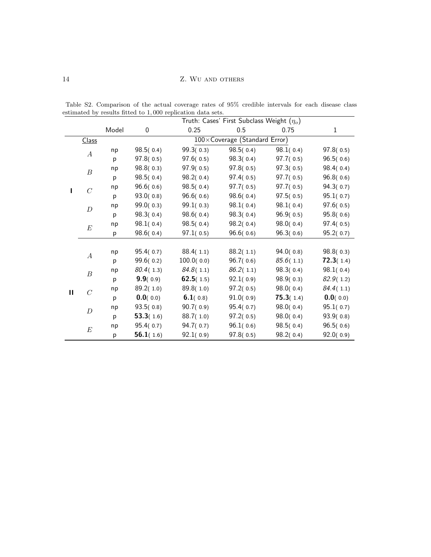|   |                                               |       | Truth: Cases' First Subclass Weight $(\eta_o)$ |              |           |                                                                                         |              |
|---|-----------------------------------------------|-------|------------------------------------------------|--------------|-----------|-----------------------------------------------------------------------------------------|--------------|
|   |                                               | Model | $\boldsymbol{0}$                               | 0.25         | 0.5       | 0.75                                                                                    | $\mathbf{1}$ |
|   | 100×Coverage (Standard Error)<br><b>Class</b> |       |                                                |              |           |                                                                                         |              |
|   | $\boldsymbol{A}$                              | np    | 98.5(0.4)                                      | 99.3(0.3)    | 98.5(0.4) | 98.1(0.4)                                                                               | 97.8(0.5)    |
|   |                                               | p     | 97.8(0.5)                                      | 97.6(0.5)    | 98.3(0.4) | 97.7(0.5)                                                                               | 96.5(0.6)    |
|   | $\boldsymbol{B}$                              | np    | 98.8(0.3)                                      | 97.9(0.5)    | 97.8(0.5) | 97.3(0.5)                                                                               | 98.4(0.4)    |
|   |                                               | p     | 98.5(0.4)                                      | 98.2(0.4)    | 97.4(0.5) | 97.7(0.5)                                                                               | 96.8(0.6)    |
|   | $\overline{C}$                                | np    | 96.6(0.6)                                      | 98.5(0.4)    | 97.7(0.5) | 97.7(0.5)                                                                               | 94.3(0.7)    |
|   |                                               | p     | 93.0(0.8)                                      | 96.6(0.6)    | 98.6(0.4) | 97.5(0.5)                                                                               | 95.1(0.7)    |
|   | $\boldsymbol{D}$                              | np    | 99.0(0.3)                                      | 99.1(0.3)    | 98.1(0.4) | 98.1(0.4)                                                                               | 97.6(0.5)    |
|   |                                               | p     | 98.3(0.4)                                      | 98.6(0.4)    | 98.3(0.4) | 96.9(0.5)                                                                               | 95.8(0.6)    |
|   | $\cal E$                                      | np    | 98.1(0.4)                                      | 98.5(0.4)    | 98.2(0.4) | 98.0(0.4)                                                                               | 97.4(0.5)    |
|   |                                               | р     | 98.6(0.4)                                      | 97.1(0.5)    | 96.6(0.6) | 96.3(0.6)                                                                               | 95.2(0.7)    |
|   |                                               |       |                                                |              |           |                                                                                         |              |
|   | $\boldsymbol{A}$                              | np    | 95.4(0.7)                                      | 88.4(1.1)    | 88.2(1.1) | 94.0(0.8)                                                                               | 98.8(0.3)    |
| П |                                               | p     | 99.6(0.2)                                      | 100.0(0.0)   | 96.7(0.6) | 85.6(1.1)                                                                               | 72.3(1.4)    |
|   | $\boldsymbol{B}$                              | np    | 80.4(1.3)                                      | 84.8(1.1)    | 86.2(1.1) | 98.3(0.4)                                                                               | 98.1(0.4)    |
|   |                                               | p     | 9.9(0.9)                                       | 62.5 $(1.5)$ | 92.1(0.9) | 98.9(0.3)<br>98.0(0.4)<br>75.3(1.4)<br>98.0(0.4)<br>98.0(0.4)<br>98.5(0.4)<br>98.2(0.4) | 82.9(1.2)    |
|   | $\overline{C}$                                | np    | 89.2(1.0)                                      | 89.8(1.0)    | 97.2(0.5) |                                                                                         | 84.4(1.1)    |
|   |                                               | p     | 0.0(0.0)                                       | 6.1(0.8)     | 91.0(0.9) |                                                                                         | 0.0(0.0)     |
|   | D                                             | np    | 93.5(0.8)                                      | 90.7(0.9)    | 95.4(0.7) |                                                                                         | 95.1(0.7)    |
|   |                                               | p     | 53.3(1.6)                                      | 88.7(1.0)    | 97.2(0.5) |                                                                                         | 93.9(0.8)    |
|   | E                                             | np    | 95.4(0.7)                                      | 94.7(0.7)    | 96.1(0.6) |                                                                                         | 96.5(0.6)    |
|   |                                               | р     | 56.1(1.6)                                      | 92.1(0.9)    | 97.8(0.5) |                                                                                         | 92.0(0.9)    |

Table S2. Comparison of the actual coverage rates of 95% credible intervals for each disease class estimated by results fitted to 1, 000 replication data sets.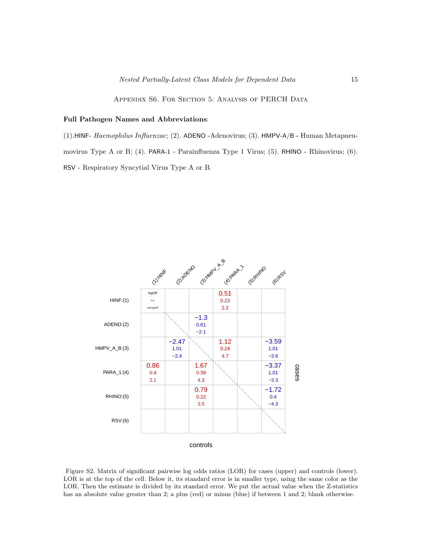APPENDIX S6. FOR SECTION 5: ANALYSIS OF PERCH DATA

# Full Pathogen Names and Abbreviations:

(1).HINF- Haemophilus Influenzae; (2). ADENO -Adenovirus; (3). HMPV-A/B - Human Metapneumovirus Type A or B; (4). PARA-1 - Parainfluenza Type 1 Virus; (5). RHINO - Rhinovirus; (6). RSV - Respiratory Syncytial Virus Type A or B.



Figure S2. Matrix of significant pairwise log odds ratios (LOR) for cases (upper) and controls (lower). LOR is at the top of the cell. Below it, its standard error is in smaller type, using the same color as the LOR. Then the estimate is divided by its standard error. We put the actual value when the Z-statistics has an absolute value greater than 2; a plus (red) or minus (blue) if between 1 and 2; blank otherwise.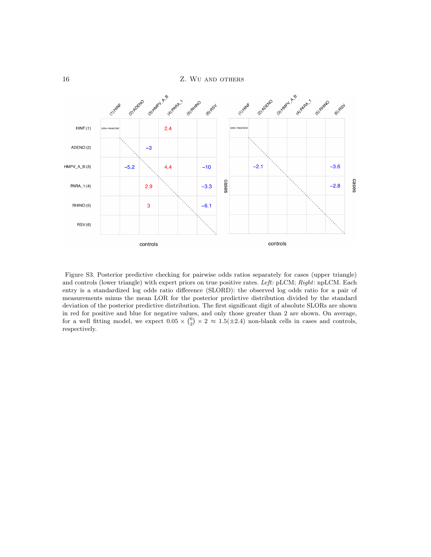16 Z. WU AND OTHERS



Figure S3. Posterior predictive checking for pairwise odds ratios separately for cases (upper triangle) and controls (lower triangle) with expert priors on true positive rates. Left: pLCM; Right: npLCM. Each entry is a standardized log odds ratio difference (SLORD): the observed log odds ratio for a pair of measurements minus the mean LOR for the posterior predictive distribution divided by the standard deviation of the posterior predictive distribution. The first significant digit of absolute SLORs are shown in red for positive and blue for negative values, and only those greater than 2 are shown. On average, for a well fitting model, we expect  $0.05 \times {6 \choose 2} \times 2 \approx 1.5(\pm 2.4)$  non-blank cells in cases and controls, respectively.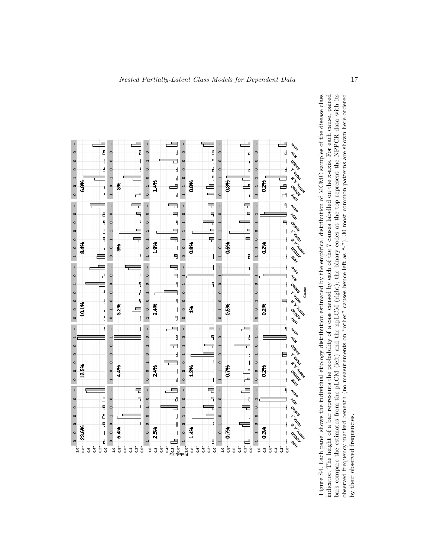

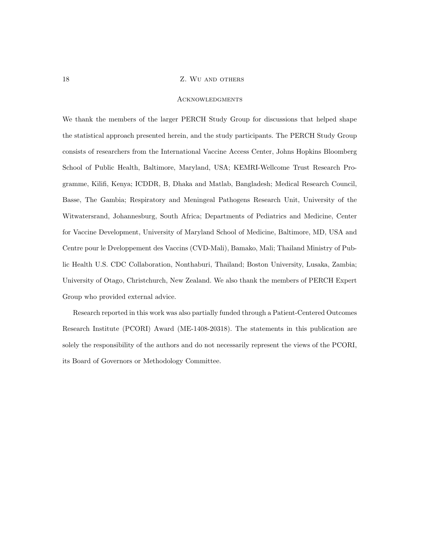#### **ACKNOWLEDGMENTS**

We thank the members of the larger PERCH Study Group for discussions that helped shape the statistical approach presented herein, and the study participants. The PERCH Study Group consists of researchers from the International Vaccine Access Center, Johns Hopkins Bloomberg School of Public Health, Baltimore, Maryland, USA; KEMRI-Wellcome Trust Research Programme, Kilifi, Kenya; ICDDR, B, Dhaka and Matlab, Bangladesh; Medical Research Council, Basse, The Gambia; Respiratory and Meningeal Pathogens Research Unit, University of the Witwatersrand, Johannesburg, South Africa; Departments of Pediatrics and Medicine, Center for Vaccine Development, University of Maryland School of Medicine, Baltimore, MD, USA and Centre pour le Dveloppement des Vaccins (CVD-Mali), Bamako, Mali; Thailand Ministry of Public Health U.S. CDC Collaboration, Nonthaburi, Thailand; Boston University, Lusaka, Zambia; University of Otago, Christchurch, New Zealand. We also thank the members of PERCH Expert Group who provided external advice.

Research reported in this work was also partially funded through a Patient-Centered Outcomes Research Institute (PCORI) Award (ME-1408-20318). The statements in this publication are solely the responsibility of the authors and do not necessarily represent the views of the PCORI, its Board of Governors or Methodology Committee.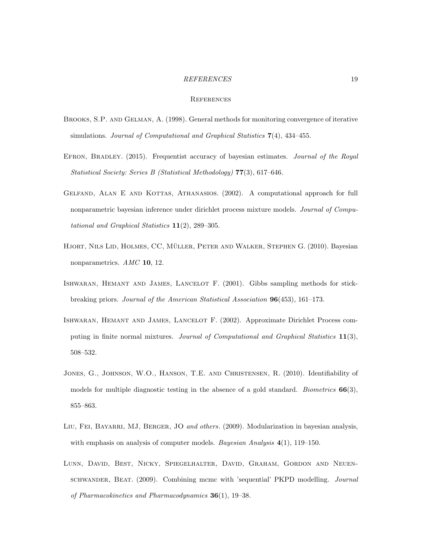#### REFERENCES 19

#### **REFERENCES**

- <span id="page-18-5"></span>Brooks, S.P. and Gelman, A. (1998). General methods for monitoring convergence of iterative simulations. Journal of Computational and Graphical Statistics 7(4), 434–455.
- <span id="page-18-8"></span>EFRON, BRADLEY. (2015). Frequentist accuracy of bayesian estimates. Journal of the Royal Statistical Society: Series B (Statistical Methodology) 77(3), 617–646.
- <span id="page-18-4"></span>GELFAND, ALAN E AND KOTTAS, ATHANASIOS. (2002). A computational approach for full nonparametric bayesian inference under dirichlet process mixture models. Journal of Computational and Graphical Statistics 11(2), 289–305.
- <span id="page-18-1"></span>HJORT, NILS LID, HOLMES, CC, MÜLLER, PETER AND WALKER, STEPHEN G. (2010). Bayesian nonparametrics. AMC 10, 12.
- <span id="page-18-3"></span>Ishwaran, Hemant and James, Lancelot F. (2001). Gibbs sampling methods for stickbreaking priors. Journal of the American Statistical Association 96(453), 161–173.
- <span id="page-18-2"></span>Ishwaran, Hemant and James, Lancelot F. (2002). Approximate Dirichlet Process computing in finite normal mixtures. Journal of Computational and Graphical Statistics 11(3), 508–532.
- <span id="page-18-0"></span>Jones, G., Johnson, W.O., Hanson, T.E. and Christensen, R. (2010). Identifiability of models for multiple diagnostic testing in the absence of a gold standard. *Biometrics*  $66(3)$ , 855–863.
- <span id="page-18-7"></span>LIU, FEI, BAYARRI, MJ, BERGER, JO and others. (2009). Modularization in bayesian analysis, with emphasis on analysis of computer models. Bayesian Analysis  $4(1)$ , 119–150.
- <span id="page-18-6"></span>Lunn, David, Best, Nicky, Spiegelhalter, David, Graham, Gordon and Neuenschwander, Beat. (2009). Combining mcmc with 'sequential' PKPD modelling. Journal of Pharmacokinetics and Pharmacodynamics 36(1), 19–38.